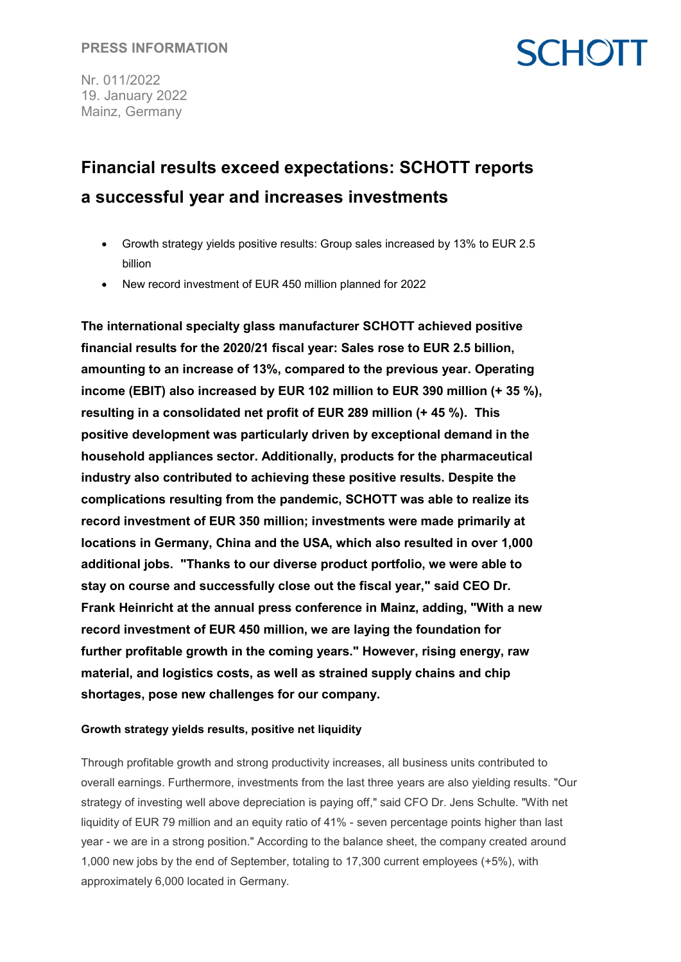## **SCHOTT**

Nr. 011/2022 19. January 2022 Mainz, Germany

### **Financial results exceed expectations: SCHOTT reports a successful year and increases investments**

- Growth strategy yields positive results: Group sales increased by 13% to EUR 2.5 billion
- New record investment of EUR 450 million planned for 2022

**The international specialty glass manufacturer SCHOTT achieved positive financial results for the 2020/21 fiscal year: Sales rose to EUR 2.5 billion, amounting to an increase of 13%, compared to the previous year. Operating income (EBIT) also increased by EUR 102 million to EUR 390 million (+ 35 %), resulting in a consolidated net profit of EUR 289 million (+ 45 %). This positive development was particularly driven by exceptional demand in the household appliances sector. Additionally, products for the pharmaceutical industry also contributed to achieving these positive results. Despite the complications resulting from the pandemic, SCHOTT was able to realize its record investment of EUR 350 million; investments were made primarily at locations in Germany, China and the USA, which also resulted in over 1,000 additional jobs. "Thanks to our diverse product portfolio, we were able to stay on course and successfully close out the fiscal year," said CEO Dr. Frank Heinricht at the annual press conference in Mainz, adding, "With a new record investment of EUR 450 million, we are laying the foundation for further profitable growth in the coming years." However, rising energy, raw material, and logistics costs, as well as strained supply chains and chip shortages, pose new challenges for our company.**

#### **Growth strategy yields results, positive net liquidity**

Through profitable growth and strong productivity increases, all business units contributed to overall earnings. Furthermore, investments from the last three years are also yielding results. "Our strategy of investing well above depreciation is paying off," said CFO Dr. Jens Schulte. "With net liquidity of EUR 79 million and an equity ratio of 41% - seven percentage points higher than last year - we are in a strong position." According to the balance sheet, the company created around 1,000 new jobs by the end of September, totaling to 17,300 current employees (+5%), with approximately 6,000 located in Germany.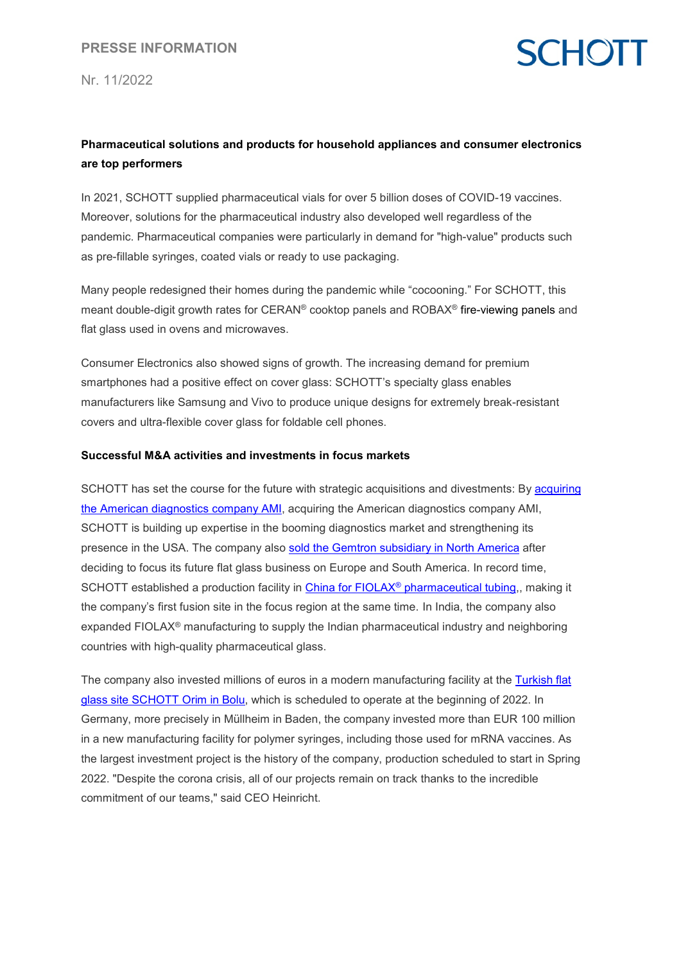Nr. 11/2022

### **SCHOTT**

#### **Pharmaceutical solutions and products for household appliances and consumer electronics are top performers**

In 2021, SCHOTT supplied pharmaceutical vials for over 5 billion doses of COVID-19 vaccines. Moreover, solutions for the pharmaceutical industry also developed well regardless of the pandemic. Pharmaceutical companies were particularly in demand for "high-value" products such as pre-fillable syringes, coated vials or ready to use packaging.

Many people redesigned their homes during the pandemic while "cocooning." For SCHOTT, this meant double-digit growth rates for CERAN® cooktop panels and ROBAX® fire-viewing panels and flat glass used in ovens and microwaves.

Consumer Electronics also showed signs of growth. The increasing demand for premium smartphones had a positive effect on cover glass: SCHOTT's specialty glass enables manufacturers like Samsung and Vivo to produce unique designs for extremely break-resistant covers and ultra-flexible cover glass for foldable cell phones.

#### **Successful M&A activities and investments in focus markets**

SCHOTT has set the course for the future with strategic acquisitions and divestments: By acquiring [the American diagnostics company AMI,](https://www.schott.com/en-us/news-and-media/media-releases/2021/schott-signs-agreement-to-acquire-applied-microarrays-inc) acquiring the American diagnostics company AMI, SCHOTT is building up expertise in the booming diagnostics market and strengthening its presence in the USA. The company also [sold the Gemtron subsidiary in North America](https://www.schott.com/en-gb/news-and-media/media-releases/2021/schott-north-america-lays-foundation-to-maximize-market-opportunity) after deciding to focus its future flat glass business on Europe and South America. In record time, SCHOTT established a production facility in China for FIOLAX<sup>®</sup> [pharmaceutical tubing,](https://www.schott.com/en-gb/news-and-media/media-releases/2021/schott-completes-next-expansion-stage-at-new-pharmaceutical-glass-tubing-plant-in-china), making it the company's first fusion site in the focus region at the same time. In India, the company also expanded FIOLAX® manufacturing to supply the Indian pharmaceutical industry and neighboring countries with high-quality pharmaceutical glass.

The company also invested millions of euros in a modern manufacturing facility at the [Turkish flat](https://www.schott.com/en-au/news-and-media/media-releases/2021/schott-breaks-ground-for-state-of-the-art-flat-glass-processing-plant)  [glass site SCHOTT Orim in Bolu,](https://www.schott.com/en-au/news-and-media/media-releases/2021/schott-breaks-ground-for-state-of-the-art-flat-glass-processing-plant) which is scheduled to operate at the beginning of 2022. In Germany, more precisely in Müllheim in Baden, the company invested more than EUR 100 million in a new manufacturing facility for polymer syringes, including those used for mRNA vaccines. As the largest investment project is the history of the company, production scheduled to start in Spring 2022. "Despite the corona crisis, all of our projects remain on track thanks to the incredible commitment of our teams," said CEO Heinricht.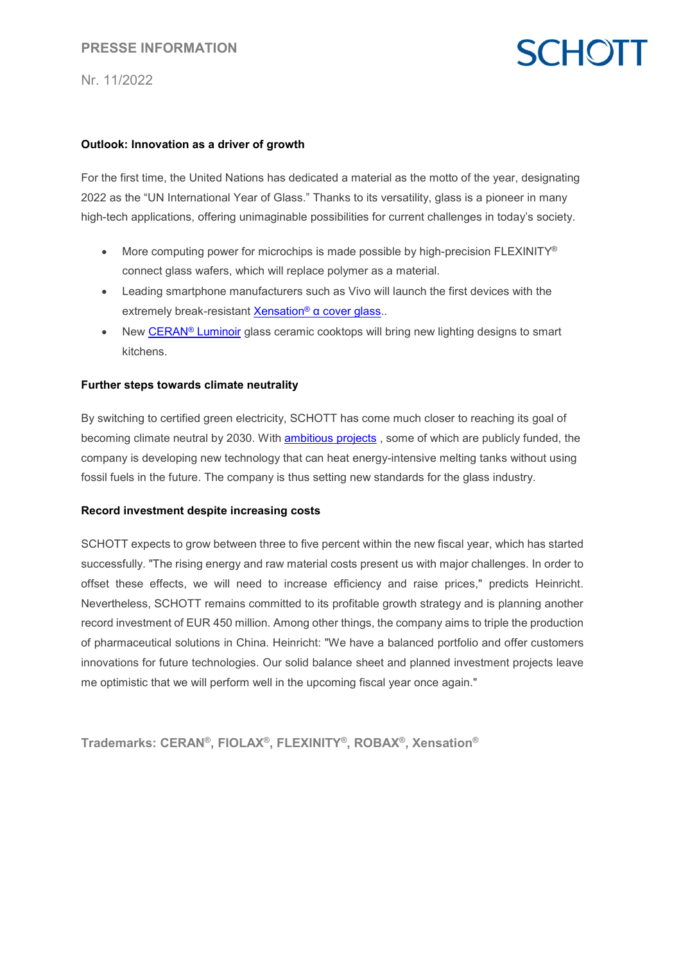#### **PRESSE INFORMATION**

Nr. 11/2022

## **SCHOTT**

#### **Outlook: Innovation as a driver of growth**

For the first time, the United Nations has dedicated a material as the motto of the year, designating 2022 as the "UN International Year of Glass." Thanks to its versatility, glass is a pioneer in many high-tech applications, offering unimaginable possibilities for current challenges in today's society.

- More computing power for microchips is made possible by high-precision FLEXINITY® connect glass wafers, which will replace polymer as a material.
- Leading smartphone manufacturers such as Vivo will launch the first devices with the extremely break-resistant Xensation<sup>®</sup> [α cover glass](https://www.schott.com/en-ro/news-and-media/media-releases/2021/vivo-s12-pro-is-the-worlds-first-smartphone-to-feature-the-ultra-strong-schott-xensation-cover-glass)..
- New CERAN<sup>®</sup> Luminoir glass ceramic cooktops will bring new lighting designs to smart kitchens.

#### **Further steps towards climate neutrality**

By switching to certified green electricity, SCHOTT has come much closer to reaching its goal of becoming climate neutral by 2030. With **[ambitious projects](https://www.schott.com/en-tw/news-and-media/media-releases/2021/schott-receives-funding-to-develop-climate-friendly-glass-production)**, some of which are publicly funded, the company is developing new technology that can heat energy-intensive melting tanks without using fossil fuels in the future. The company is thus setting new standards for the glass industry.

#### **Record investment despite increasing costs**

SCHOTT expects to grow between three to five percent within the new fiscal year, which has started successfully. "The rising energy and raw material costs present us with major challenges. In order to offset these effects, we will need to increase efficiency and raise prices," predicts Heinricht. Nevertheless, SCHOTT remains committed to its profitable growth strategy and is planning another record investment of EUR 450 million. Among other things, the company aims to triple the production of pharmaceutical solutions in China. Heinricht: "We have a balanced portfolio and offer customers innovations for future technologies. Our solid balance sheet and planned investment projects leave me optimistic that we will perform well in the upcoming fiscal year once again."

**Trademarks: CERAN®, FIOLAX®, FLEXINITY®, ROBAX®, Xensation®**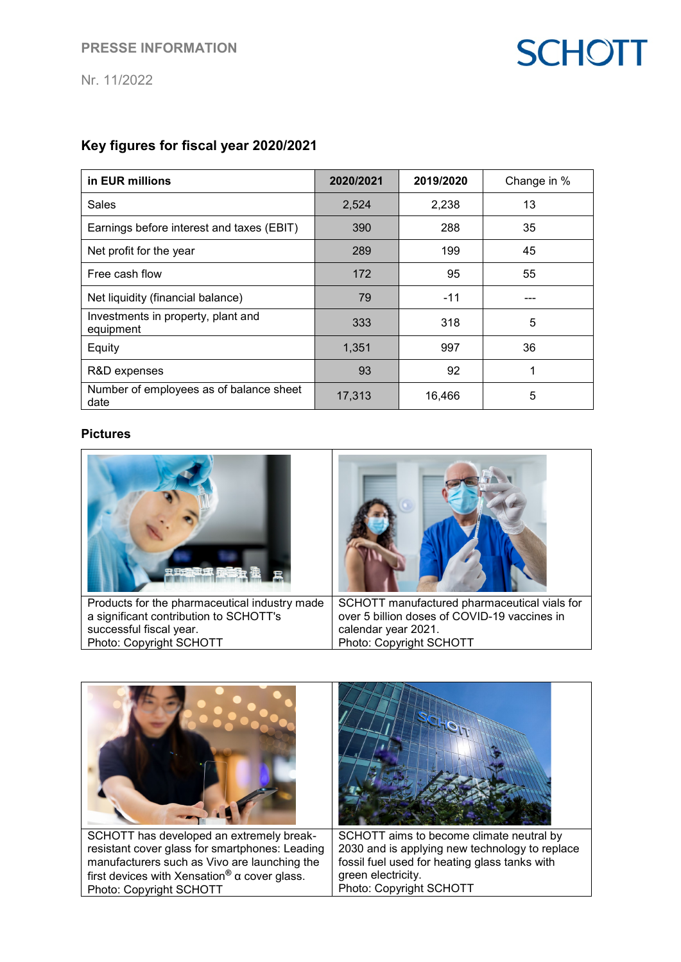# **SCHOTT**

Nr. 11/2022

### **Key figures for fiscal year 2020/2021**

| in EUR millions                                 | 2020/2021 | 2019/2020 | Change in % |
|-------------------------------------------------|-----------|-----------|-------------|
| <b>Sales</b>                                    | 2,524     | 2,238     | 13          |
| Earnings before interest and taxes (EBIT)       | 390       | 288       | 35          |
| Net profit for the year                         | 289       | 199       | 45          |
| Free cash flow                                  | 172       | 95        | 55          |
| Net liquidity (financial balance)               | 79        | $-11$     |             |
| Investments in property, plant and<br>equipment | 333       | 318       | 5           |
| Equity                                          | 1,351     | 997       | 36          |
| R&D expenses                                    | 93        | 92        |             |
| Number of employees as of balance sheet<br>date | 17,313    | 16,466    | 5           |

#### **Pictures**

| Products for the pharmaceutical industry made | SCHOTT manufactured pharmaceutical vials for |
|-----------------------------------------------|----------------------------------------------|
| a significant contribution to SCHOTT's        | over 5 billion doses of COVID-19 vaccines in |
| successful fiscal year.                       | calendar year 2021.                          |
| Photo: Copyright SCHOTT                       | Photo: Copyright SCHOTT                      |